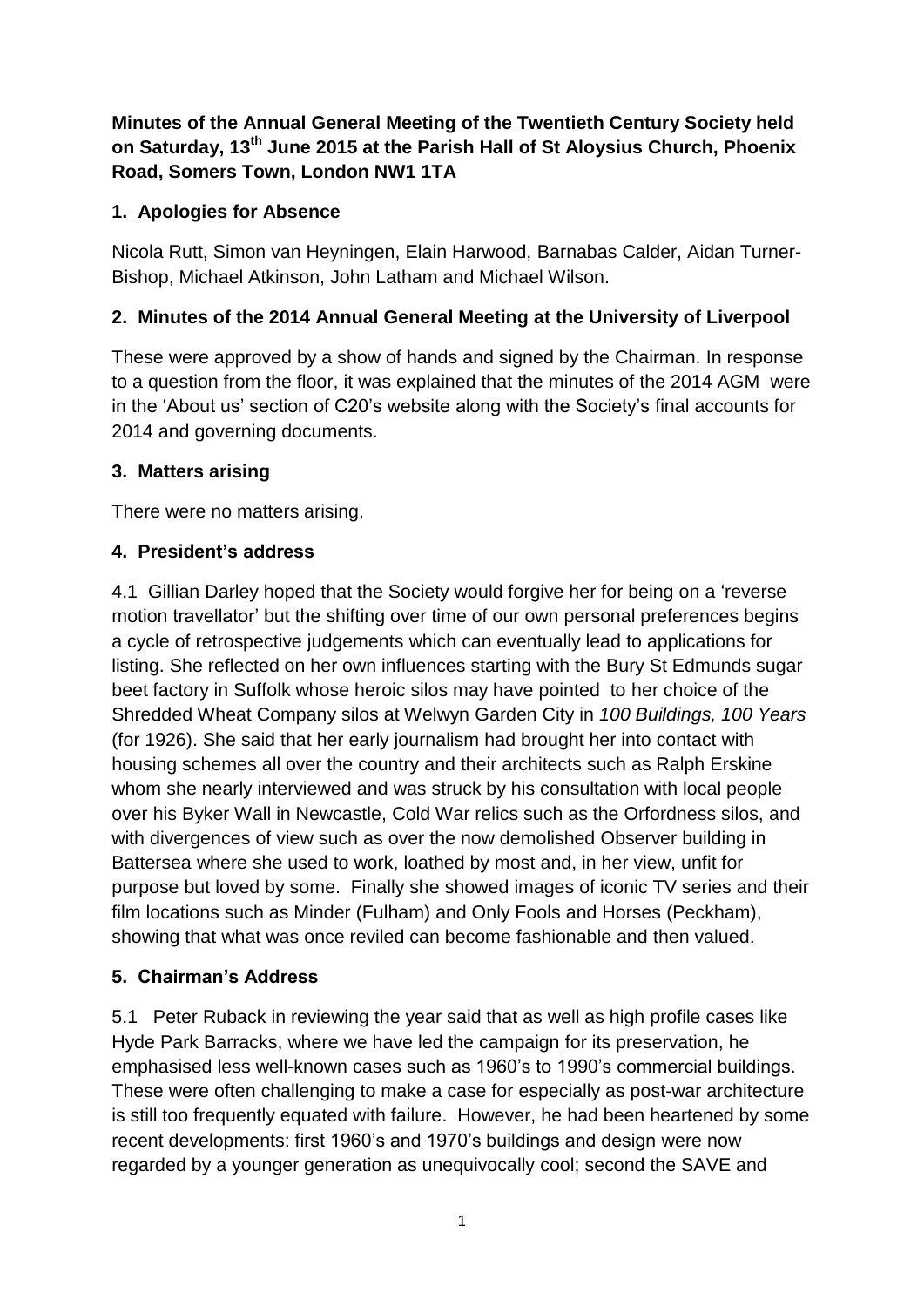# **Minutes of the Annual General Meeting of the Twentieth Century Society held on Saturday, 13th June 2015 at the Parish Hall of St Aloysius Church, Phoenix Road, Somers Town, London NW1 1TA**

## **1. Apologies for Absence**

Nicola Rutt, Simon van Heyningen, Elain Harwood, Barnabas Calder, Aidan Turner-Bishop, Michael Atkinson, John Latham and Michael Wilson.

## **2. Minutes of the 2014 Annual General Meeting at the University of Liverpool**

These were approved by a show of hands and signed by the Chairman. In response to a question from the floor, it was explained that the minutes of the 2014 AGM were in the 'About us' section of C20's website along with the Society's final accounts for 2014 and governing documents.

### **3. Matters arising**

There were no matters arising.

## **4. President's address**

4.1 Gillian Darley hoped that the Society would forgive her for being on a 'reverse motion travellator' but the shifting over time of our own personal preferences begins a cycle of retrospective judgements which can eventually lead to applications for listing. She reflected on her own influences starting with the Bury St Edmunds sugar beet factory in Suffolk whose heroic silos may have pointed to her choice of the Shredded Wheat Company silos at Welwyn Garden City in *100 Buildings, 100 Years* (for 1926). She said that her early journalism had brought her into contact with housing schemes all over the country and their architects such as Ralph Erskine whom she nearly interviewed and was struck by his consultation with local people over his Byker Wall in Newcastle, Cold War relics such as the Orfordness silos, and with divergences of view such as over the now demolished Observer building in Battersea where she used to work, loathed by most and, in her view, unfit for purpose but loved by some. Finally she showed images of iconic TV series and their film locations such as Minder (Fulham) and Only Fools and Horses (Peckham), showing that what was once reviled can become fashionable and then valued.

# **5. Chairman's Address**

5.1 Peter Ruback in reviewing the year said that as well as high profile cases like Hyde Park Barracks, where we have led the campaign for its preservation, he emphasised less well-known cases such as 1960's to 1990's commercial buildings. These were often challenging to make a case for especially as post-war architecture is still too frequently equated with failure. However, he had been heartened by some recent developments: first 1960's and 1970's buildings and design were now regarded by a younger generation as unequivocally cool; second the SAVE and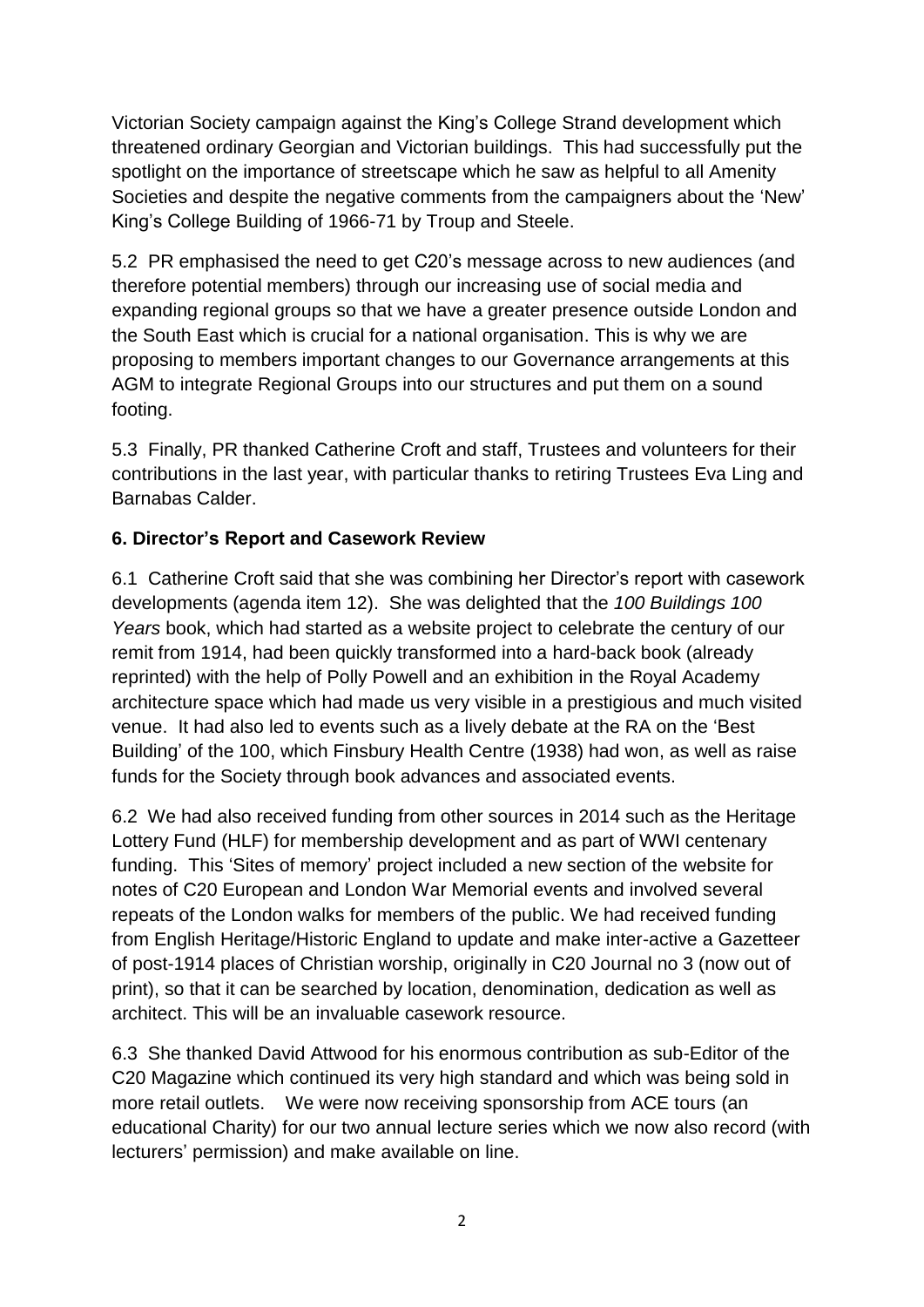Victorian Society campaign against the King's College Strand development which threatened ordinary Georgian and Victorian buildings. This had successfully put the spotlight on the importance of streetscape which he saw as helpful to all Amenity Societies and despite the negative comments from the campaigners about the 'New' King's College Building of 1966-71 by Troup and Steele.

5.2 PR emphasised the need to get C20's message across to new audiences (and therefore potential members) through our increasing use of social media and expanding regional groups so that we have a greater presence outside London and the South East which is crucial for a national organisation. This is why we are proposing to members important changes to our Governance arrangements at this AGM to integrate Regional Groups into our structures and put them on a sound footing.

5.3 Finally, PR thanked Catherine Croft and staff, Trustees and volunteers for their contributions in the last year, with particular thanks to retiring Trustees Eva Ling and Barnabas Calder.

## **6. Director's Report and Casework Review**

6.1 Catherine Croft said that she was combining her Director's report with casework developments (agenda item 12). She was delighted that the *100 Buildings 100 Years* book, which had started as a website project to celebrate the century of our remit from 1914, had been quickly transformed into a hard-back book (already reprinted) with the help of Polly Powell and an exhibition in the Royal Academy architecture space which had made us very visible in a prestigious and much visited venue. It had also led to events such as a lively debate at the RA on the 'Best Building' of the 100, which Finsbury Health Centre (1938) had won, as well as raise funds for the Society through book advances and associated events.

6.2 We had also received funding from other sources in 2014 such as the Heritage Lottery Fund (HLF) for membership development and as part of WWI centenary funding. This 'Sites of memory' project included a new section of the website for notes of C20 European and London War Memorial events and involved several repeats of the London walks for members of the public. We had received funding from English Heritage/Historic England to update and make inter-active a Gazetteer of post-1914 places of Christian worship, originally in C20 Journal no 3 (now out of print), so that it can be searched by location, denomination, dedication as well as architect. This will be an invaluable casework resource.

6.3 She thanked David Attwood for his enormous contribution as sub-Editor of the C20 Magazine which continued its very high standard and which was being sold in more retail outlets. We were now receiving sponsorship from ACE tours (an educational Charity) for our two annual lecture series which we now also record (with lecturers' permission) and make available on line.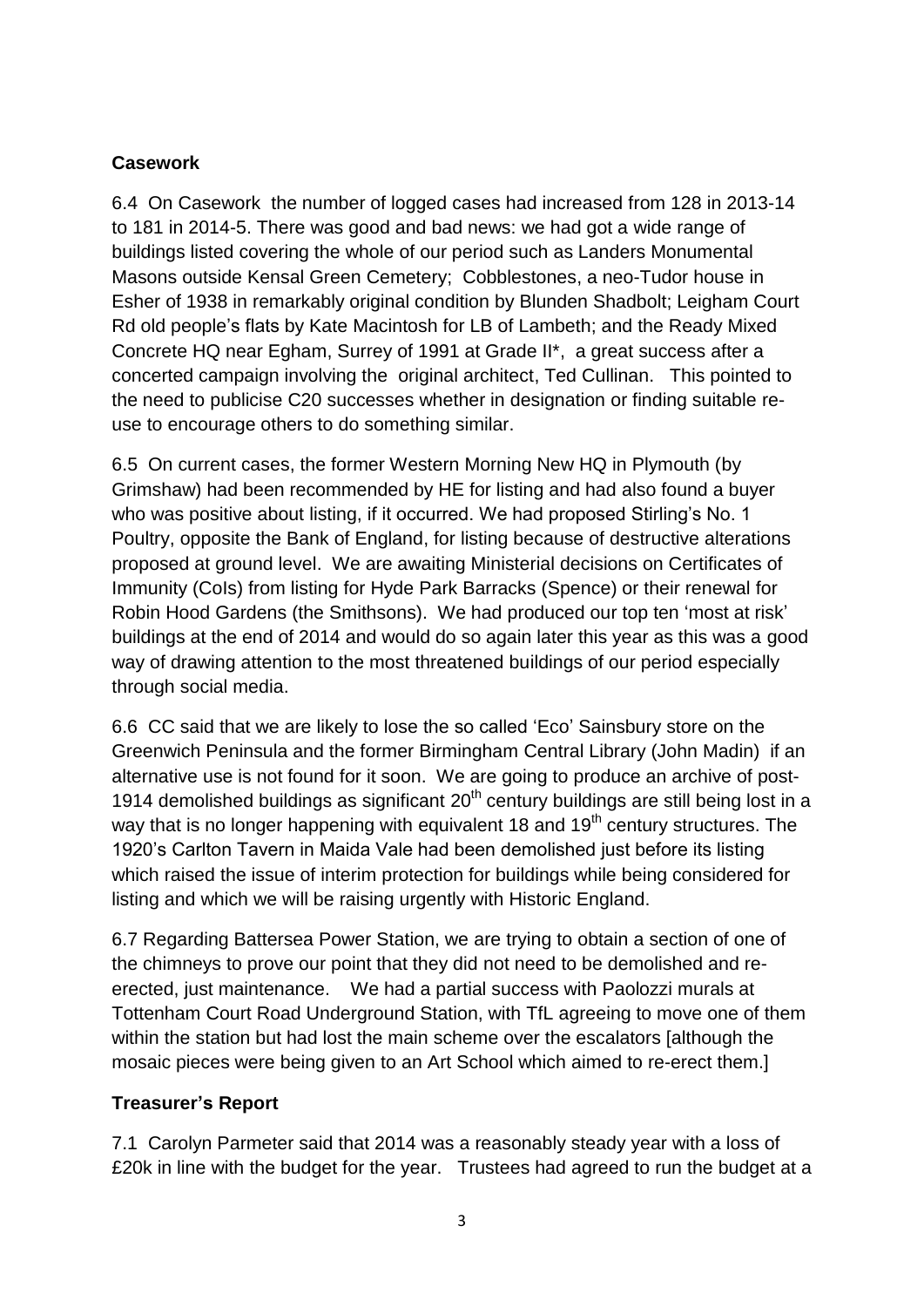# **Casework**

6.4 On Casework the number of logged cases had increased from 128 in 2013-14 to 181 in 2014-5. There was good and bad news: we had got a wide range of buildings listed covering the whole of our period such as Landers Monumental Masons outside Kensal Green Cemetery; Cobblestones, a neo-Tudor house in Esher of 1938 in remarkably original condition by Blunden Shadbolt; Leigham Court Rd old people's flats by Kate Macintosh for LB of Lambeth; and the Ready Mixed Concrete HQ near Egham, Surrey of 1991 at Grade II\*, a great success after a concerted campaign involving the original architect, Ted Cullinan. This pointed to the need to publicise C20 successes whether in designation or finding suitable reuse to encourage others to do something similar.

6.5 On current cases, the former Western Morning New HQ in Plymouth (by Grimshaw) had been recommended by HE for listing and had also found a buyer who was positive about listing, if it occurred. We had proposed Stirling's No. 1 Poultry, opposite the Bank of England, for listing because of destructive alterations proposed at ground level. We are awaiting Ministerial decisions on Certificates of Immunity (CoIs) from listing for Hyde Park Barracks (Spence) or their renewal for Robin Hood Gardens (the Smithsons). We had produced our top ten 'most at risk' buildings at the end of 2014 and would do so again later this year as this was a good way of drawing attention to the most threatened buildings of our period especially through social media.

6.6 CC said that we are likely to lose the so called 'Eco' Sainsbury store on the Greenwich Peninsula and the former Birmingham Central Library (John Madin) if an alternative use is not found for it soon. We are going to produce an archive of post-1914 demolished buildings as significant  $20<sup>th</sup>$  century buildings are still being lost in a way that is no longer happening with equivalent 18 and 19<sup>th</sup> century structures. The 1920's Carlton Tavern in Maida Vale had been demolished just before its listing which raised the issue of interim protection for buildings while being considered for listing and which we will be raising urgently with Historic England.

6.7 Regarding Battersea Power Station, we are trying to obtain a section of one of the chimneys to prove our point that they did not need to be demolished and reerected, just maintenance. We had a partial success with Paolozzi murals at Tottenham Court Road Underground Station, with TfL agreeing to move one of them within the station but had lost the main scheme over the escalators [although the mosaic pieces were being given to an Art School which aimed to re-erect them.]

# **Treasurer's Report**

7.1 Carolyn Parmeter said that 2014 was a reasonably steady year with a loss of £20k in line with the budget for the year. Trustees had agreed to run the budget at a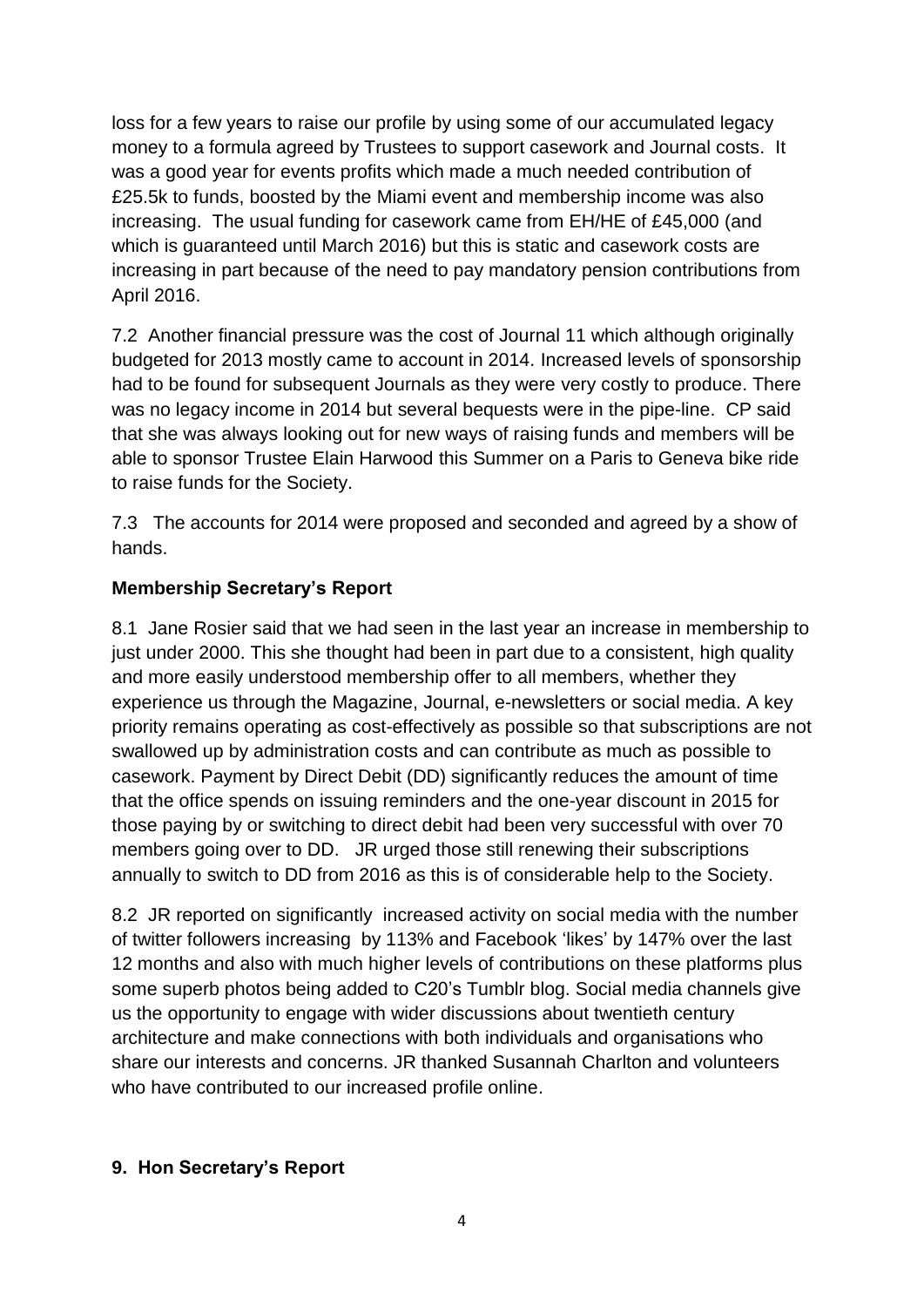loss for a few years to raise our profile by using some of our accumulated legacy money to a formula agreed by Trustees to support casework and Journal costs. It was a good year for events profits which made a much needed contribution of £25.5k to funds, boosted by the Miami event and membership income was also increasing. The usual funding for casework came from EH/HE of £45,000 (and which is guaranteed until March 2016) but this is static and casework costs are increasing in part because of the need to pay mandatory pension contributions from April 2016.

7.2 Another financial pressure was the cost of Journal 11 which although originally budgeted for 2013 mostly came to account in 2014. Increased levels of sponsorship had to be found for subsequent Journals as they were very costly to produce. There was no legacy income in 2014 but several bequests were in the pipe-line. CP said that she was always looking out for new ways of raising funds and members will be able to sponsor Trustee Elain Harwood this Summer on a Paris to Geneva bike ride to raise funds for the Society.

7.3 The accounts for 2014 were proposed and seconded and agreed by a show of hands.

# **Membership Secretary's Report**

8.1 Jane Rosier said that we had seen in the last year an increase in membership to just under 2000. This she thought had been in part due to a consistent, high quality and more easily understood membership offer to all members, whether they experience us through the Magazine, Journal, e-newsletters or social media. A key priority remains operating as cost-effectively as possible so that subscriptions are not swallowed up by administration costs and can contribute as much as possible to casework. Payment by Direct Debit (DD) significantly reduces the amount of time that the office spends on issuing reminders and the one-year discount in 2015 for those paying by or switching to direct debit had been very successful with over 70 members going over to DD. JR urged those still renewing their subscriptions annually to switch to DD from 2016 as this is of considerable help to the Society.

8.2 JR reported on significantly increased activity on social media with the number of twitter followers increasing by 113% and Facebook 'likes' by 147% over the last 12 months and also with much higher levels of contributions on these platforms plus some superb photos being added to C20's Tumblr blog. Social media channels give us the opportunity to engage with wider discussions about twentieth century architecture and make connections with both individuals and organisations who share our interests and concerns. JR thanked Susannah Charlton and volunteers who have contributed to our increased profile online.

### **9. Hon Secretary's Report**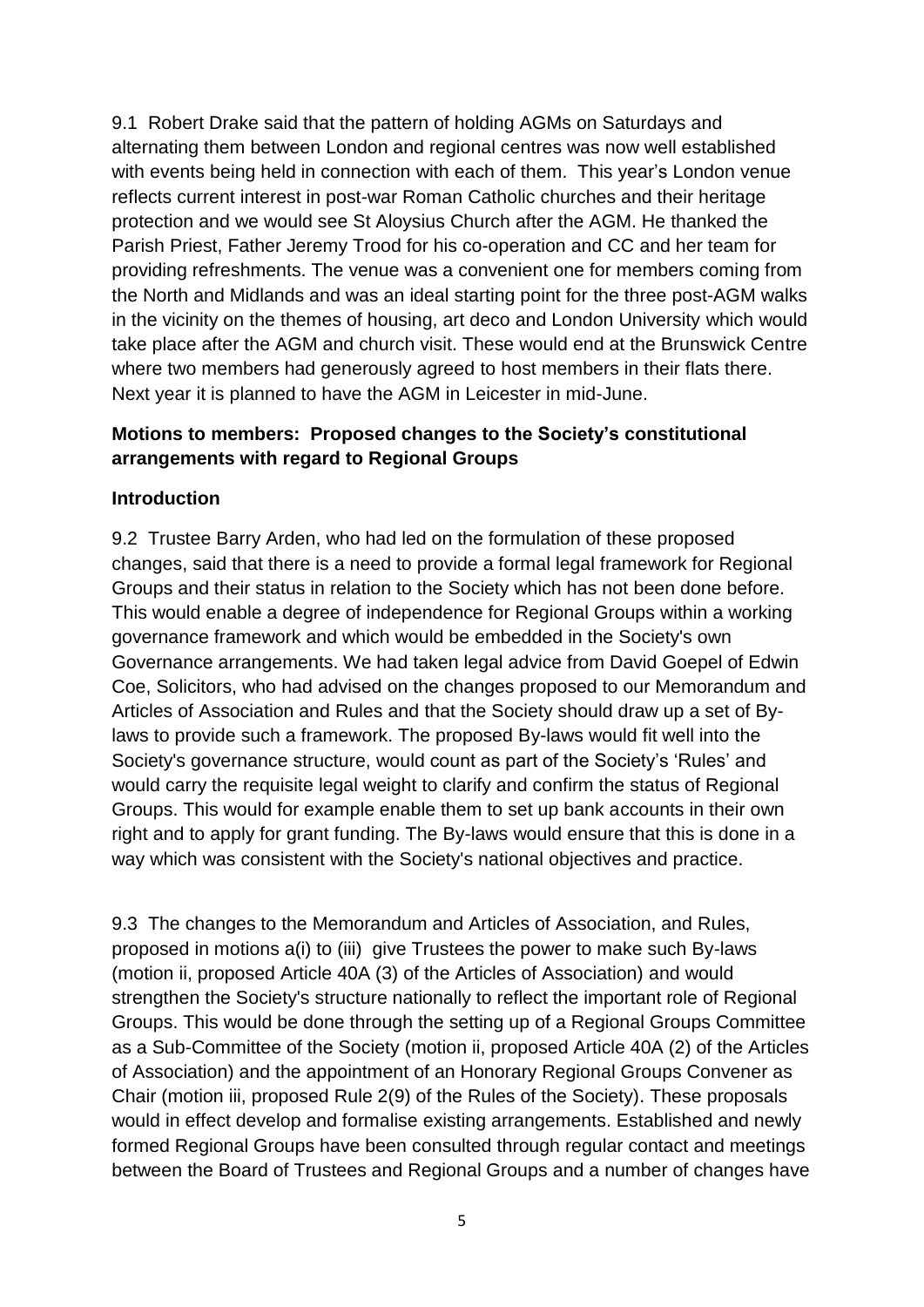9.1 Robert Drake said that the pattern of holding AGMs on Saturdays and alternating them between London and regional centres was now well established with events being held in connection with each of them. This year's London venue reflects current interest in post-war Roman Catholic churches and their heritage protection and we would see St Aloysius Church after the AGM. He thanked the Parish Priest, Father Jeremy Trood for his co-operation and CC and her team for providing refreshments. The venue was a convenient one for members coming from the North and Midlands and was an ideal starting point for the three post-AGM walks in the vicinity on the themes of housing, art deco and London University which would take place after the AGM and church visit. These would end at the Brunswick Centre where two members had generously agreed to host members in their flats there. Next year it is planned to have the AGM in Leicester in mid-June.

### **Motions to members: Proposed changes to the Society's constitutional arrangements with regard to Regional Groups**

#### **Introduction**

9.2 Trustee Barry Arden, who had led on the formulation of these proposed changes, said that there is a need to provide a formal legal framework for Regional Groups and their status in relation to the Society which has not been done before. This would enable a degree of independence for Regional Groups within a working governance framework and which would be embedded in the Society's own Governance arrangements. We had taken legal advice from David Goepel of Edwin Coe, Solicitors, who had advised on the changes proposed to our Memorandum and Articles of Association and Rules and that the Society should draw up a set of Bylaws to provide such a framework. The proposed By-laws would fit well into the Society's governance structure, would count as part of the Society's 'Rules' and would carry the requisite legal weight to clarify and confirm the status of Regional Groups. This would for example enable them to set up bank accounts in their own right and to apply for grant funding. The By-laws would ensure that this is done in a way which was consistent with the Society's national objectives and practice.

9.3 The changes to the Memorandum and Articles of Association, and Rules, proposed in motions a(i) to (iii) give Trustees the power to make such By-laws (motion ii, proposed Article 40A (3) of the Articles of Association) and would strengthen the Society's structure nationally to reflect the important role of Regional Groups. This would be done through the setting up of a Regional Groups Committee as a Sub-Committee of the Society (motion ii, proposed Article 40A (2) of the Articles of Association) and the appointment of an Honorary Regional Groups Convener as Chair (motion iii, proposed Rule 2(9) of the Rules of the Society). These proposals would in effect develop and formalise existing arrangements. Established and newly formed Regional Groups have been consulted through regular contact and meetings between the Board of Trustees and Regional Groups and a number of changes have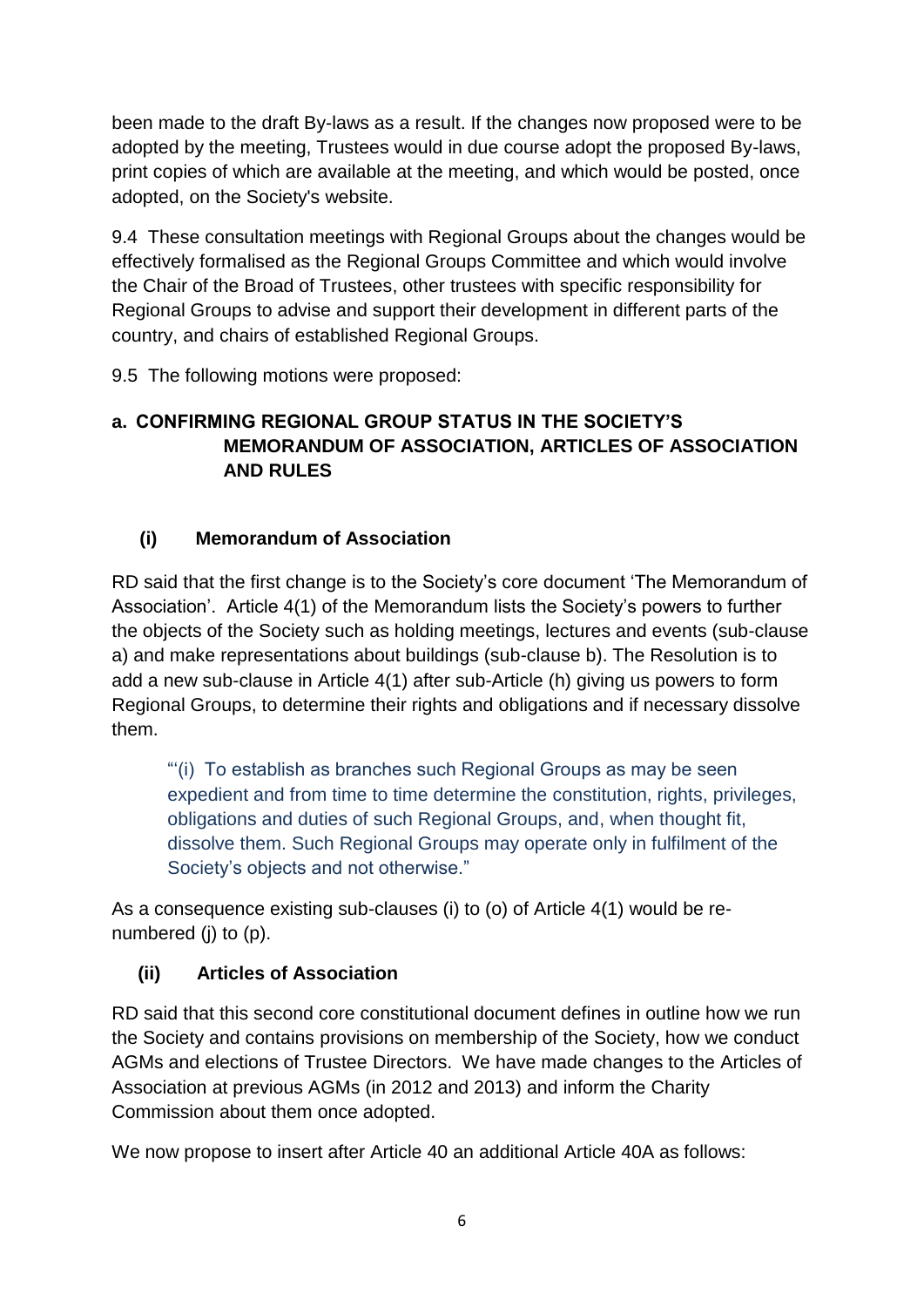been made to the draft By-laws as a result. If the changes now proposed were to be adopted by the meeting, Trustees would in due course adopt the proposed By-laws, print copies of which are available at the meeting, and which would be posted, once adopted, on the Society's website.

9.4 These consultation meetings with Regional Groups about the changes would be effectively formalised as the Regional Groups Committee and which would involve the Chair of the Broad of Trustees, other trustees with specific responsibility for Regional Groups to advise and support their development in different parts of the country, and chairs of established Regional Groups.

9.5 The following motions were proposed:

# **a. CONFIRMING REGIONAL GROUP STATUS IN THE SOCIETY'S MEMORANDUM OF ASSOCIATION, ARTICLES OF ASSOCIATION AND RULES**

# **(i) Memorandum of Association**

RD said that the first change is to the Society's core document 'The Memorandum of Association'. Article 4(1) of the Memorandum lists the Society's powers to further the objects of the Society such as holding meetings, lectures and events (sub-clause a) and make representations about buildings (sub-clause b). The Resolution is to add a new sub-clause in Article 4(1) after sub-Article (h) giving us powers to form Regional Groups, to determine their rights and obligations and if necessary dissolve them.

"'(i) To establish as branches such Regional Groups as may be seen expedient and from time to time determine the constitution, rights, privileges, obligations and duties of such Regional Groups, and, when thought fit, dissolve them. Such Regional Groups may operate only in fulfilment of the Society's objects and not otherwise."

As a consequence existing sub-clauses (i) to (o) of Article 4(1) would be renumbered (j) to (p).

# **(ii) Articles of Association**

RD said that this second core constitutional document defines in outline how we run the Society and contains provisions on membership of the Society, how we conduct AGMs and elections of Trustee Directors. We have made changes to the Articles of Association at previous AGMs (in 2012 and 2013) and inform the Charity Commission about them once adopted.

We now propose to insert after Article 40 an additional Article 40A as follows: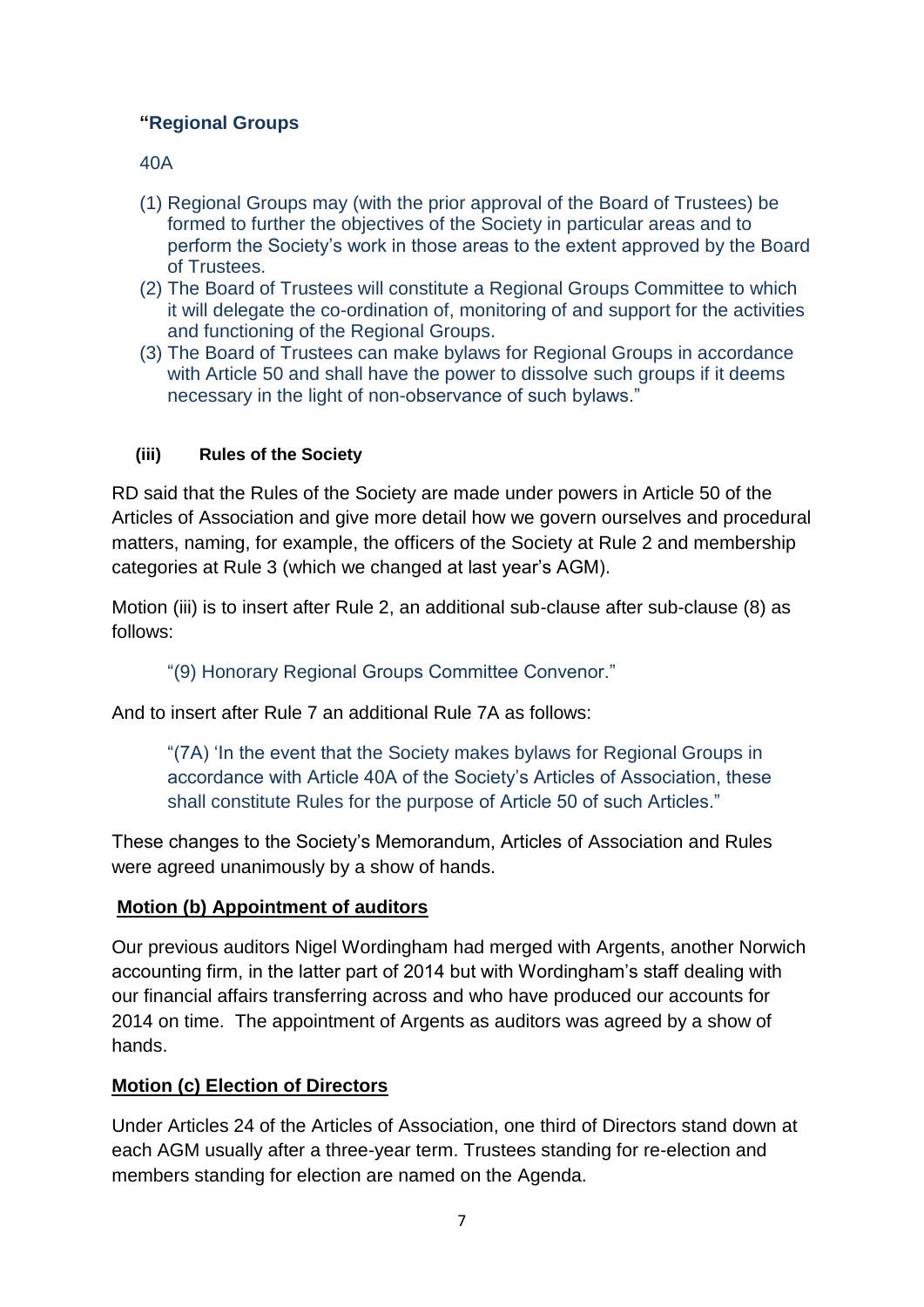# **"Regional Groups**

## 40A

- (1) Regional Groups may (with the prior approval of the Board of Trustees) be formed to further the objectives of the Society in particular areas and to perform the Society's work in those areas to the extent approved by the Board of Trustees.
- (2) The Board of Trustees will constitute a Regional Groups Committee to which it will delegate the co-ordination of, monitoring of and support for the activities and functioning of the Regional Groups.
- (3) The Board of Trustees can make bylaws for Regional Groups in accordance with Article 50 and shall have the power to dissolve such groups if it deems necessary in the light of non-observance of such bylaws."

## **(iii) Rules of the Society**

RD said that the Rules of the Society are made under powers in Article 50 of the Articles of Association and give more detail how we govern ourselves and procedural matters, naming, for example, the officers of the Society at Rule 2 and membership categories at Rule 3 (which we changed at last year's AGM).

Motion (iii) is to insert after Rule 2, an additional sub-clause after sub-clause (8) as follows:

"(9) Honorary Regional Groups Committee Convenor."

And to insert after Rule 7 an additional Rule 7A as follows:

"(7A) 'In the event that the Society makes bylaws for Regional Groups in accordance with Article 40A of the Society's Articles of Association, these shall constitute Rules for the purpose of Article 50 of such Articles."

These changes to the Society's Memorandum, Articles of Association and Rules were agreed unanimously by a show of hands.

### **Motion (b) Appointment of auditors**

Our previous auditors Nigel Wordingham had merged with Argents, another Norwich accounting firm, in the latter part of 2014 but with Wordingham's staff dealing with our financial affairs transferring across and who have produced our accounts for 2014 on time. The appointment of Argents as auditors was agreed by a show of hands.

# **Motion (c) Election of Directors**

Under Articles 24 of the Articles of Association, one third of Directors stand down at each AGM usually after a three-year term. Trustees standing for re-election and members standing for election are named on the Agenda.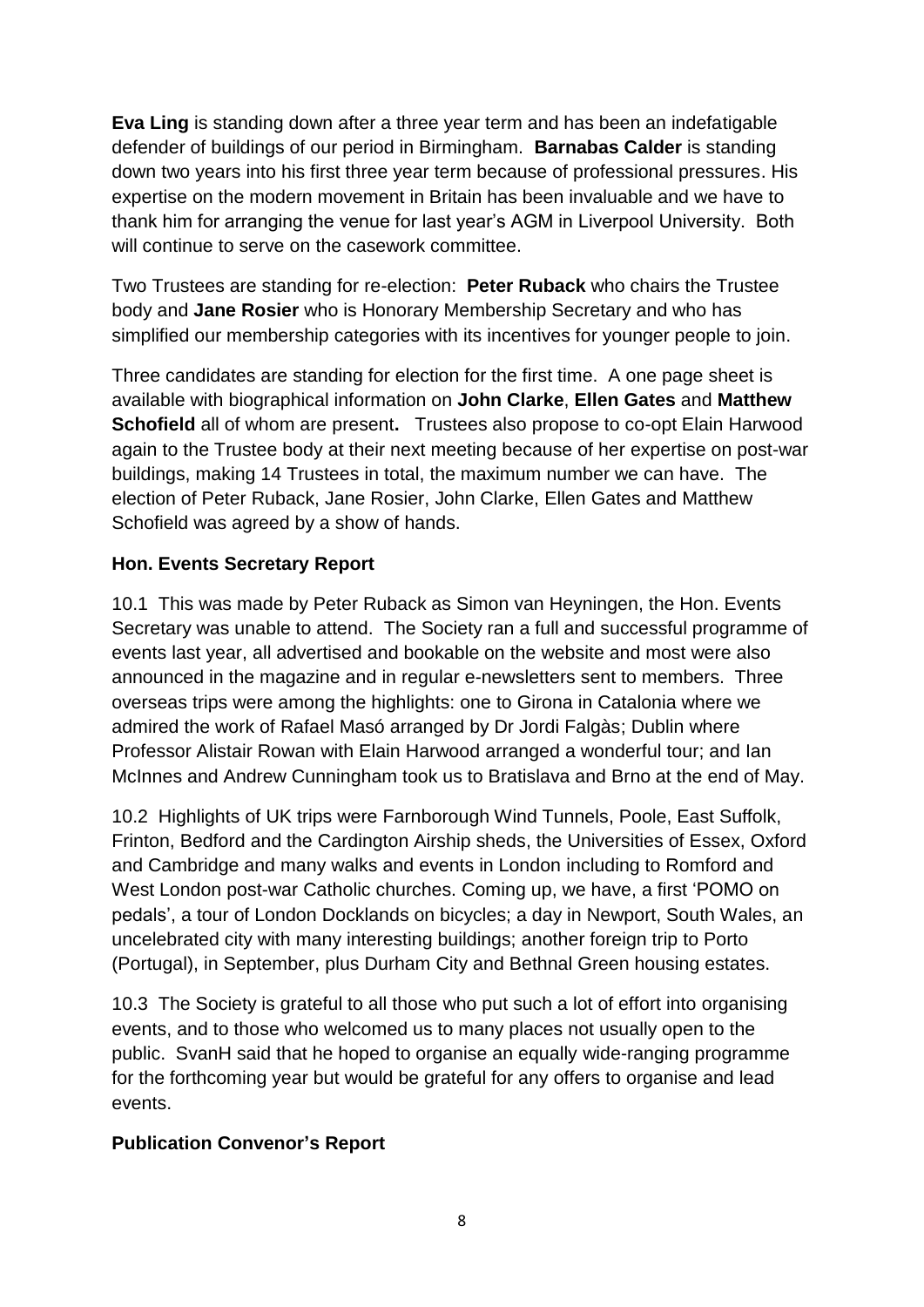**Eva Ling** is standing down after a three year term and has been an indefatigable defender of buildings of our period in Birmingham. **Barnabas Calder** is standing down two years into his first three year term because of professional pressures. His expertise on the modern movement in Britain has been invaluable and we have to thank him for arranging the venue for last year's AGM in Liverpool University. Both will continue to serve on the casework committee.

Two Trustees are standing for re-election: **Peter Ruback** who chairs the Trustee body and **Jane Rosier** who is Honorary Membership Secretary and who has simplified our membership categories with its incentives for younger people to join.

Three candidates are standing for election for the first time. A one page sheet is available with biographical information on **John Clarke**, **Ellen Gates** and **Matthew Schofield** all of whom are present**.** Trustees also propose to co-opt Elain Harwood again to the Trustee body at their next meeting because of her expertise on post-war buildings, making 14 Trustees in total, the maximum number we can have. The election of Peter Ruback, Jane Rosier, John Clarke, Ellen Gates and Matthew Schofield was agreed by a show of hands.

### **Hon. Events Secretary Report**

10.1 This was made by Peter Ruback as Simon van Heyningen, the Hon. Events Secretary was unable to attend. The Society ran a full and successful programme of events last year, all advertised and bookable on the website and most were also announced in the magazine and in regular e-newsletters sent to members. Three overseas trips were among the highlights: one to Girona in Catalonia where we admired the work of Rafael Masó arranged by Dr Jordi Falgàs; Dublin where Professor Alistair Rowan with Elain Harwood arranged a wonderful tour; and Ian McInnes and Andrew Cunningham took us to Bratislava and Brno at the end of May.

10.2 Highlights of UK trips were Farnborough Wind Tunnels, Poole, East Suffolk, Frinton, Bedford and the Cardington Airship sheds, the Universities of Essex, Oxford and Cambridge and many walks and events in London including to Romford and West London post-war Catholic churches. Coming up, we have, a first 'POMO on pedals', a tour of London Docklands on bicycles; a day in Newport, South Wales, an uncelebrated city with many interesting buildings; another foreign trip to Porto (Portugal), in September, plus Durham City and Bethnal Green housing estates.

10.3 The Society is grateful to all those who put such a lot of effort into organising events, and to those who welcomed us to many places not usually open to the public. SvanH said that he hoped to organise an equally wide-ranging programme for the forthcoming year but would be grateful for any offers to organise and lead events.

### **Publication Convenor's Report**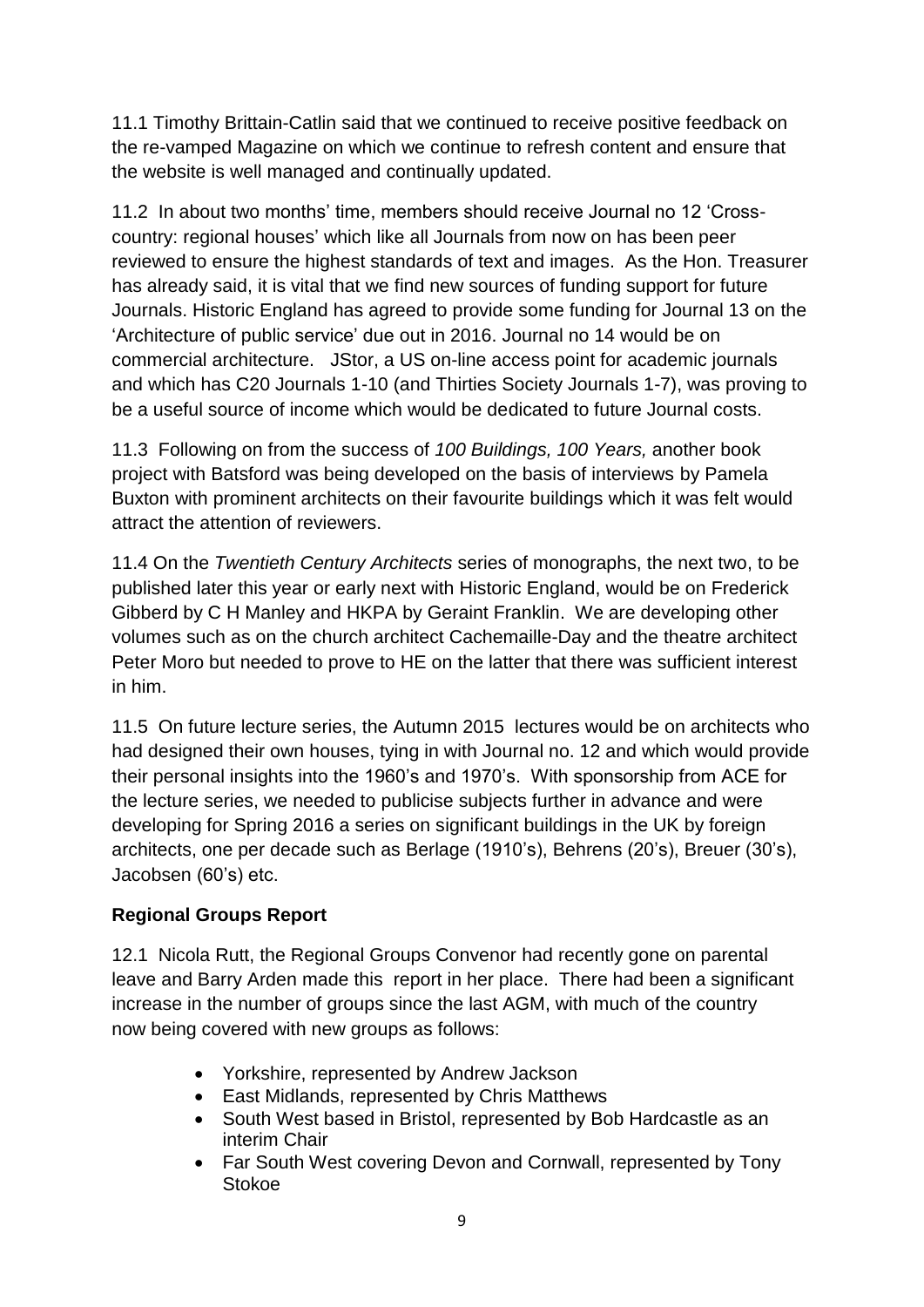11.1 Timothy Brittain-Catlin said that we continued to receive positive feedback on the re-vamped Magazine on which we continue to refresh content and ensure that the website is well managed and continually updated.

11.2 In about two months' time, members should receive Journal no 12 'Crosscountry: regional houses' which like all Journals from now on has been peer reviewed to ensure the highest standards of text and images. As the Hon. Treasurer has already said, it is vital that we find new sources of funding support for future Journals. Historic England has agreed to provide some funding for Journal 13 on the 'Architecture of public service' due out in 2016. Journal no 14 would be on commercial architecture. JStor, a US on-line access point for academic journals and which has C20 Journals 1-10 (and Thirties Society Journals 1-7), was proving to be a useful source of income which would be dedicated to future Journal costs.

11.3 Following on from the success of *100 Buildings, 100 Years,* another book project with Batsford was being developed on the basis of interviews by Pamela Buxton with prominent architects on their favourite buildings which it was felt would attract the attention of reviewers.

11.4 On the *Twentieth Century Architects* series of monographs, the next two, to be published later this year or early next with Historic England, would be on Frederick Gibberd by C H Manley and HKPA by Geraint Franklin. We are developing other volumes such as on the church architect Cachemaille-Day and the theatre architect Peter Moro but needed to prove to HE on the latter that there was sufficient interest in him.

11.5 On future lecture series, the Autumn 2015 lectures would be on architects who had designed their own houses, tying in with Journal no. 12 and which would provide their personal insights into the 1960's and 1970's. With sponsorship from ACE for the lecture series, we needed to publicise subjects further in advance and were developing for Spring 2016 a series on significant buildings in the UK by foreign architects, one per decade such as Berlage (1910's), Behrens (20's), Breuer (30's), Jacobsen (60's) etc.

# **Regional Groups Report**

12.1 Nicola Rutt, the Regional Groups Convenor had recently gone on parental leave and Barry Arden made this report in her place. There had been a significant increase in the number of groups since the last AGM, with much of the country now being covered with new groups as follows:

- Yorkshire, represented by Andrew Jackson
- East Midlands, represented by Chris Matthews
- South West based in Bristol, represented by Bob Hardcastle as an interim Chair
- Far South West covering Devon and Cornwall, represented by Tony Stokoe